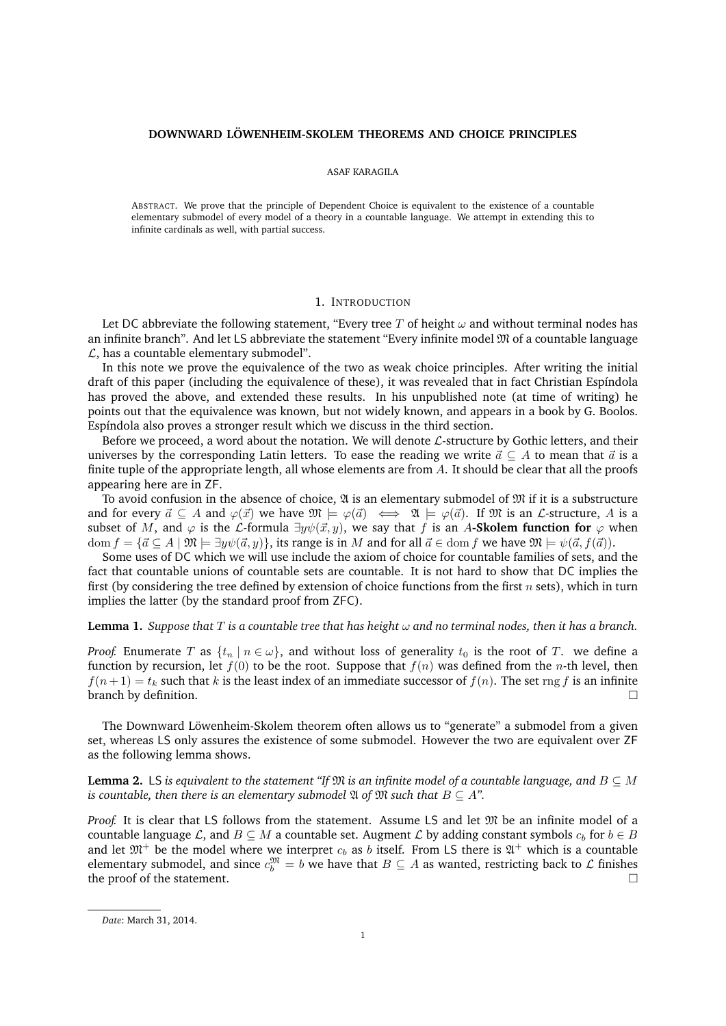### **DOWNWARD LÖWENHEIM-SKOLEM THEOREMS AND CHOICE PRINCIPLES**

#### ASAF KARAGILA

ABSTRACT. We prove that the principle of Dependent Choice is equivalent to the existence of a countable elementary submodel of every model of a theory in a countable language. We attempt in extending this to infinite cardinals as well, with partial success.

# 1. INTRODUCTION

Let DC abbreviate the following statement, "Every tree T of height  $\omega$  and without terminal nodes has an infinite branch". And let LS abbreviate the statement "Every infinite model  $\mathfrak{M}$  of a countable language  $\mathcal{L}$ , has a countable elementary submodel".

In this note we prove the equivalence of the two as weak choice principles. After writing the initial draft of this paper (including the equivalence of these), it was revealed that in fact Christian Espíndola has proved the above, and extended these results. In his unpublished note (at time of writing) he points out that the equivalence was known, but not widely known, and appears in a book by G. Boolos. Espíndola also proves a stronger result which we discuss in the third section.

Before we proceed, a word about the notation. We will denote  $\mathcal{L}$ -structure by Gothic letters, and their universes by the corresponding Latin letters. To ease the reading we write  $\vec{a} \subseteq A$  to mean that  $\vec{a}$  is a finite tuple of the appropriate length, all whose elements are from A. It should be clear that all the proofs appearing here are in ZF.

To avoid confusion in the absence of choice,  $\mathfrak A$  is an elementary submodel of  $\mathfrak M$  if it is a substructure and for every  $\vec{a} \subseteq A$  and  $\varphi(\vec{x})$  we have  $\mathfrak{M} \models \varphi(\vec{a}) \iff \mathfrak{A} \models \varphi(\vec{a})$ . If  $\mathfrak{M}$  is an *L*-structure, A is a subset of M, and  $\varphi$  is the L-formula  $\exists y \psi(\vec{x}, y)$ , we say that f is an A-**Skolem function for**  $\varphi$  when dom  $f = \{\vec{a} \subseteq A \mid \mathfrak{M} \models \exists y \psi(\vec{a}, y)\}\)$ , its range is in M and for all  $\vec{a} \in$  dom f we have  $\mathfrak{M} \models \psi(\vec{a}, f(\vec{a}))$ .

Some uses of DC which we will use include the axiom of choice for countable families of sets, and the fact that countable unions of countable sets are countable. It is not hard to show that DC implies the first (by considering the tree defined by extension of choice functions from the first  $n$  sets), which in turn implies the latter (by the standard proof from ZFC).

# **Lemma 1.** *Suppose that* T *is a countable tree that has height* ω *and no terminal nodes, then it has a branch.*

*Proof.* Enumerate T as  $\{t_n | n \in \omega\}$ , and without loss of generality  $t_0$  is the root of T. we define a function by recursion, let  $f(0)$  to be the root. Suppose that  $f(n)$  was defined from the n-th level, then  $f(n+1) = t_k$  such that k is the least index of an immediate successor of  $f(n)$ . The set rng f is an infinite branch by definition.

The Downward Löwenheim-Skolem theorem often allows us to "generate" a submodel from a given set, whereas LS only assures the existence of some submodel. However the two are equivalent over ZF as the following lemma shows.

**Lemma 2.** LS *is equivalent to the statement "If*  $\mathfrak{M}$  *is an infinite model of a countable language, and*  $B \subseteq M$ *is countable, then there is an elementary submodel*  $\mathfrak A$  *of*  $\mathfrak M$  *such that*  $B \subseteq A$ ".

*Proof.* It is clear that LS follows from the statement. Assume LS and let  $\mathfrak{M}$  be an infinite model of a countable language L, and  $B \subseteq M$  a countable set. Augment L by adding constant symbols  $c_b$  for  $b \in B$ and let  $\mathfrak{M}^+$  be the model where we interpret  $c_b$  as b itself. From LS there is  $\mathfrak{A}^+$  which is a countable elementary submodel, and since  $c_b^{\mathfrak{M}} = b$  we have that  $B \subseteq A$  as wanted, restricting back to  $\mathcal L$  finishes the proof of the statement.

*Date*: March 31, 2014.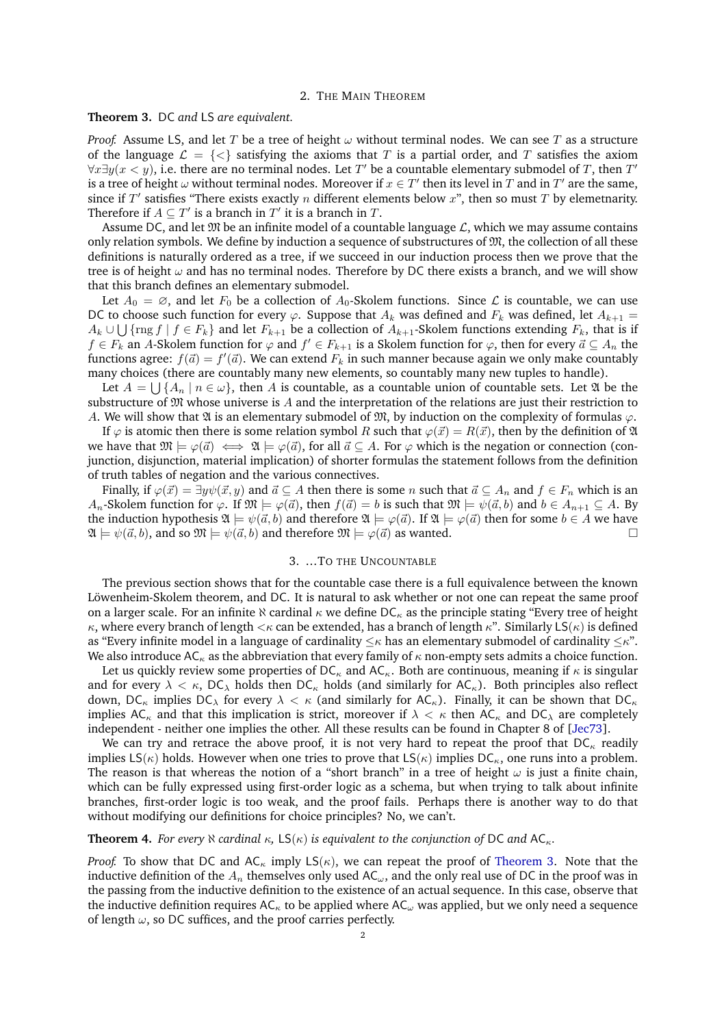#### 2. THE MAIN THEOREM

# <span id="page-1-0"></span>**Theorem 3.** DC *and* LS *are equivalent.*

*Proof.* Assume LS, and let T be a tree of height  $\omega$  without terminal nodes. We can see T as a structure of the language  $\mathcal{L} = \{ \langle \rangle \}$  satisfying the axioms that T is a partial order, and T satisfies the axiom  $\forall x \exists y (x \langle y \rangle)$ , i.e. there are no terminal nodes. Let T' be a countable elementary submodel of T, then T' is a tree of height  $\omega$  without terminal nodes. Moreover if  $x \in T'$  then its level in  $T$  and in  $T'$  are the same, since if  $T'$  satisfies "There exists exactly n different elements below  $x$ ", then so must  $T$  by elemetnarity. Therefore if  $A \subseteq T'$  is a branch in  $T'$  it is a branch in  $T$ .

Assume DC, and let  $\mathfrak{M}$  be an infinite model of a countable language  $\mathcal{L}$ , which we may assume contains only relation symbols. We define by induction a sequence of substructures of  $\mathfrak{M}$ , the collection of all these definitions is naturally ordered as a tree, if we succeed in our induction process then we prove that the tree is of height  $\omega$  and has no terminal nodes. Therefore by DC there exists a branch, and we will show that this branch defines an elementary submodel.

Let  $A_0 = \emptyset$ , and let  $F_0$  be a collection of  $A_0$ -Skolem functions. Since  $\mathcal L$  is countable, we can use DC to choose such function for every  $\varphi$ . Suppose that  $A_k$  was defined and  $F_k$  was defined, let  $A_{k+1}$  =  $A_k \cup \bigcup \{\text{rng } f \mid f \in F_k\}$  and let  $F_{k+1}$  be a collection of  $A_{k+1}$ -Skolem functions extending  $F_k$ , that is if  $f \in F_k$  an A-Skolem function for  $\varphi$  and  $f' \in F_{k+1}$  is a Skolem function for  $\varphi$ , then for every  $\vec{a} \subseteq A_n$  the functions agree:  $f(\vec{a}) = f'(\vec{a})$ . We can extend  $F_k$  in such manner because again we only make countably many choices (there are countably many new elements, so countably many new tuples to handle).

Let  $A=\bigcup\{A_n\mid n\in\omega\},$  then  $A$  is countable, as a countable union of countable sets. Let  $\mathfrak A$  be the substructure of  $\mathfrak M$  whose universe is A and the interpretation of the relations are just their restriction to A. We will show that  $\mathfrak A$  is an elementary submodel of  $\mathfrak M$ , by induction on the complexity of formulas  $\varphi$ .

If  $\varphi$  is atomic then there is some relation symbol R such that  $\varphi(\vec{x}) = R(\vec{x})$ , then by the definition of  $\mathfrak A$ we have that  $\mathfrak{M} \models \varphi(\vec{a}) \iff \mathfrak{A} \models \varphi(\vec{a})$ , for all  $\vec{a} \subseteq A$ . For  $\varphi$  which is the negation or connection (conjunction, disjunction, material implication) of shorter formulas the statement follows from the definition of truth tables of negation and the various connectives.

Finally, if  $\varphi(\vec{x}) = \exists y \psi(\vec{x}, y)$  and  $\vec{a} \subseteq A$  then there is some n such that  $\vec{a} \subseteq A_n$  and  $f \in F_n$  which is an  $A_n$ -Skolem function for  $\varphi$ . If  $\mathfrak{M} \models \varphi(\vec{a})$ , then  $f(\vec{a}) = b$  is such that  $\mathfrak{M} \models \psi(\vec{a}, b)$  and  $b \in A_{n+1} \subseteq A$ . By the induction hypothesis  $\mathfrak{A} \models \psi(\vec{a}, b)$  and therefore  $\mathfrak{A} \models \varphi(\vec{a})$ . If  $\mathfrak{A} \models \varphi(\vec{a})$  then for some  $b \in A$  we have  $\mathfrak{A} \models \psi(\vec{a}, \vec{b})$ , and so  $\mathfrak{M} \models \psi(\vec{a}, \vec{b})$  and therefore  $\mathfrak{M} \models \varphi(\vec{a})$  as wanted.

### 3. ...TO THE UNCOUNTABLE

The previous section shows that for the countable case there is a full equivalence between the known Löwenheim-Skolem theorem, and DC. It is natural to ask whether or not one can repeat the same proof on a larger scale. For an infinite  $\aleph$  cardinal  $\kappa$  we define DC<sub> $\kappa$ </sub> as the principle stating "Every tree of height  $\kappa$ , where every branch of length  $\lt\kappa$  can be extended, has a branch of length  $\kappa$ ". Similarly LS( $\kappa$ ) is defined as "Every infinite model in a language of cardinality  $\leq \kappa$  has an elementary submodel of cardinality  $\leq \kappa$ ". We also introduce AC<sub> $k$ </sub> as the abbreviation that every family of  $\kappa$  non-empty sets admits a choice function.

Let us quickly review some properties of  $DC_{\kappa}$  and AC<sub> $\kappa$ </sub>. Both are continuous, meaning if  $\kappa$  is singular and for every  $\lambda < \kappa$ , DC<sub> $\lambda$ </sub> holds then DC<sub> $\kappa$ </sub> holds (and similarly for AC<sub> $\kappa$ </sub>). Both principles also reflect down,  $DC_{\kappa}$  implies  $DC_{\lambda}$  for every  $\lambda < \kappa$  (and similarly for  $AC_{\kappa}$ ). Finally, it can be shown that  $DC_{\kappa}$ implies AC<sub>K</sub> and that this implication is strict, moreover if  $\lambda < \kappa$  then AC<sub>K</sub> and DC<sub>A</sub> are completely independent - neither one implies the other. All these results can be found in Chapter 8 of [\[Jec73\]](#page-2-0).

We can try and retrace the above proof, it is not very hard to repeat the proof that  $DC_{\kappa}$  readily implies  $LS(\kappa)$  holds. However when one tries to prove that  $LS(\kappa)$  implies  $DC_{\kappa}$ , one runs into a problem. The reason is that whereas the notion of a "short branch" in a tree of height  $\omega$  is just a finite chain, which can be fully expressed using first-order logic as a schema, but when trying to talk about infinite branches, first-order logic is too weak, and the proof fails. Perhaps there is another way to do that without modifying our definitions for choice principles? No, we can't.

### **Theorem 4.** *For every*  $\aleph$  *cardinal*  $\kappa$ *,* LS( $\kappa$ ) *is equivalent to the conjunction of* DC *and* AC<sub> $\kappa$ *.*</sub>

*Proof.* To show that DC and  $AC_{\kappa}$  imply  $LS(\kappa)$ , we can repeat the proof of [Theorem 3.](#page-1-0) Note that the inductive definition of the  $A_n$  themselves only used AC<sub>ω</sub>, and the only real use of DC in the proof was in the passing from the inductive definition to the existence of an actual sequence. In this case, observe that the inductive definition requires  $AC_{\kappa}$  to be applied where  $AC_{\omega}$  was applied, but we only need a sequence of length  $\omega$ , so DC suffices, and the proof carries perfectly.